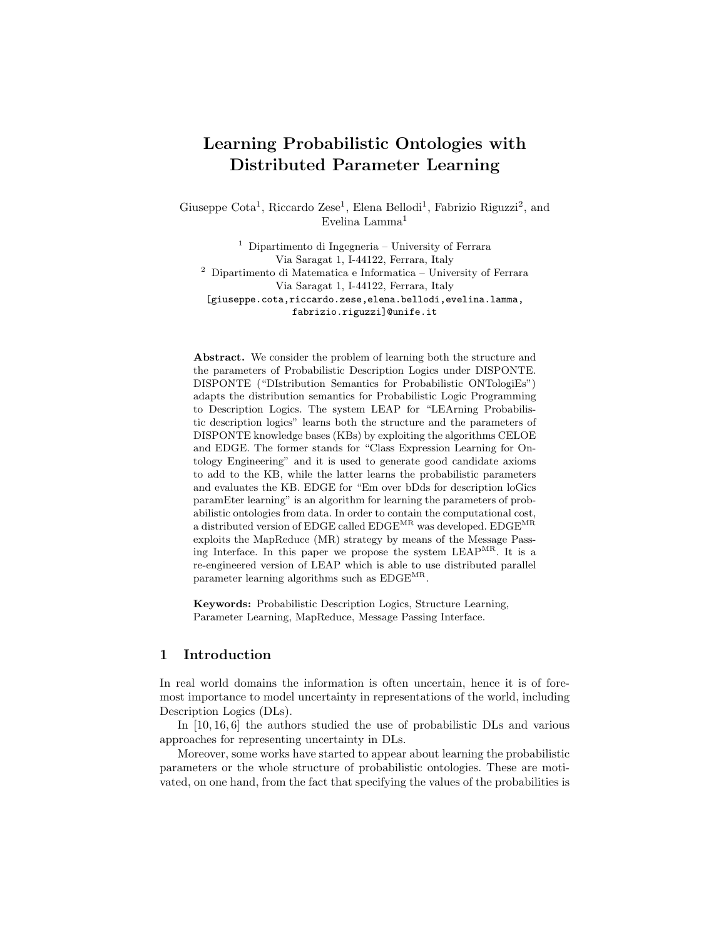# Learning Probabilistic Ontologies with Distributed Parameter Learning

Giuseppe Cota<sup>1</sup>, Riccardo Zese<sup>1</sup>, Elena Bellodi<sup>1</sup>, Fabrizio Riguzzi<sup>2</sup>, and Evelina Lamma<sup>1</sup>

<sup>1</sup> Dipartimento di Ingegneria – University of Ferrara Via Saragat 1, I-44122, Ferrara, Italy  $2$  Dipartimento di Matematica e Informatica – University of Ferrara Via Saragat 1, I-44122, Ferrara, Italy [giuseppe.cota,riccardo.zese,elena.bellodi,evelina.lamma, fabrizio.riguzzi]@unife.it

Abstract. We consider the problem of learning both the structure and the parameters of Probabilistic Description Logics under DISPONTE. DISPONTE ("DIstribution Semantics for Probabilistic ONTologiEs") adapts the distribution semantics for Probabilistic Logic Programming to Description Logics. The system LEAP for "LEArning Probabilistic description logics" learns both the structure and the parameters of DISPONTE knowledge bases (KBs) by exploiting the algorithms CELOE and EDGE. The former stands for "Class Expression Learning for Ontology Engineering" and it is used to generate good candidate axioms to add to the KB, while the latter learns the probabilistic parameters and evaluates the KB. EDGE for "Em over bDds for description loGics paramEter learning" is an algorithm for learning the parameters of probabilistic ontologies from data. In order to contain the computational cost, a distributed version of EDGE called  $\rm EDGE^{MR}$  was developed.  $\rm EDGE^{MR}$ exploits the MapReduce (MR) strategy by means of the Message Passing Interface. In this paper we propose the system LEAPMR. It is a re-engineered version of LEAP which is able to use distributed parallel parameter learning algorithms such as  $\mathrm{EDGE^{MR}}.$ 

Keywords: Probabilistic Description Logics, Structure Learning, Parameter Learning, MapReduce, Message Passing Interface.

# 1 Introduction

In real world domains the information is often uncertain, hence it is of foremost importance to model uncertainty in representations of the world, including Description Logics (DLs).

In [10, 16, 6] the authors studied the use of probabilistic DLs and various approaches for representing uncertainty in DLs.

Moreover, some works have started to appear about learning the probabilistic parameters or the whole structure of probabilistic ontologies. These are motivated, on one hand, from the fact that specifying the values of the probabilities is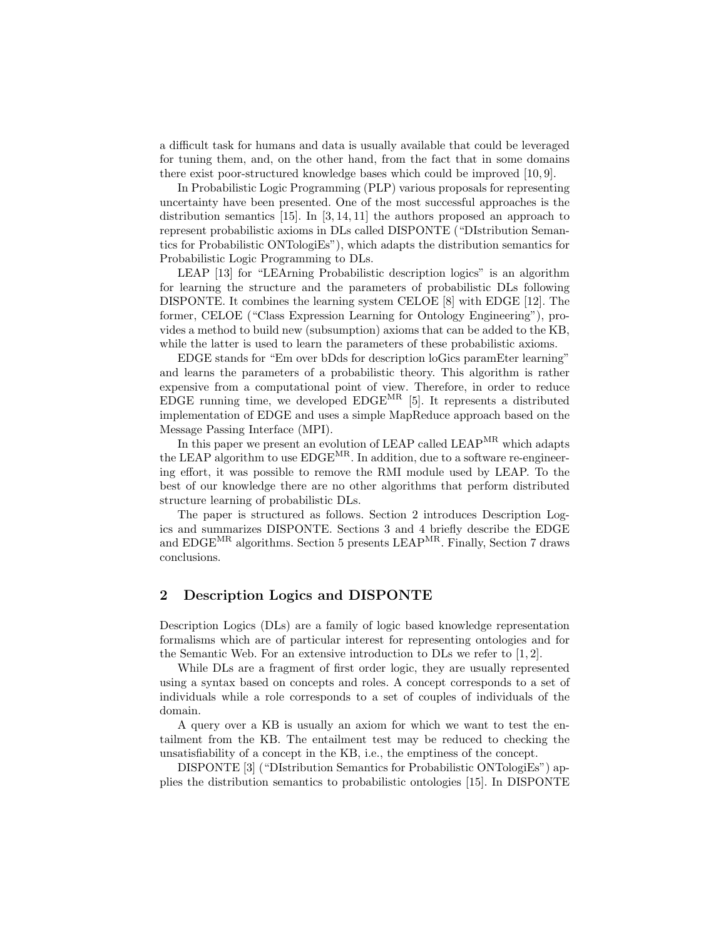a difficult task for humans and data is usually available that could be leveraged for tuning them, and, on the other hand, from the fact that in some domains there exist poor-structured knowledge bases which could be improved [10, 9].

In Probabilistic Logic Programming (PLP) various proposals for representing uncertainty have been presented. One of the most successful approaches is the distribution semantics  $[15]$ . In  $[3, 14, 11]$  the authors proposed an approach to represent probabilistic axioms in DLs called DISPONTE ("DIstribution Semantics for Probabilistic ONTologiEs"), which adapts the distribution semantics for Probabilistic Logic Programming to DLs.

LEAP [13] for "LEArning Probabilistic description logics" is an algorithm for learning the structure and the parameters of probabilistic DLs following DISPONTE. It combines the learning system CELOE [8] with EDGE [12]. The former, CELOE ("Class Expression Learning for Ontology Engineering"), provides a method to build new (subsumption) axioms that can be added to the KB, while the latter is used to learn the parameters of these probabilistic axioms.

EDGE stands for "Em over bDds for description loGics paramEter learning" and learns the parameters of a probabilistic theory. This algorithm is rather expensive from a computational point of view. Therefore, in order to reduce EDGE running time, we developed  $E D GE^{MR}$  [5]. It represents a distributed implementation of EDGE and uses a simple MapReduce approach based on the Message Passing Interface (MPI).

In this paper we present an evolution of LEAP called LEAPMR which adapts the LEAP algorithm to use EDGEMR. In addition, due to a software re-engineering effort, it was possible to remove the RMI module used by LEAP. To the best of our knowledge there are no other algorithms that perform distributed structure learning of probabilistic DLs.

The paper is structured as follows. Section 2 introduces Description Logics and summarizes DISPONTE. Sections 3 and 4 briefly describe the EDGE and EDGEMR algorithms. Section 5 presents LEAPMR. Finally, Section 7 draws conclusions.

# 2 Description Logics and DISPONTE

Description Logics (DLs) are a family of logic based knowledge representation formalisms which are of particular interest for representing ontologies and for the Semantic Web. For an extensive introduction to DLs we refer to  $[1, 2]$ .

While DLs are a fragment of first order logic, they are usually represented using a syntax based on concepts and roles. A concept corresponds to a set of individuals while a role corresponds to a set of couples of individuals of the domain.

A query over a KB is usually an axiom for which we want to test the entailment from the KB. The entailment test may be reduced to checking the unsatisfiability of a concept in the KB, i.e., the emptiness of the concept.

DISPONTE [3] ("DIstribution Semantics for Probabilistic ONTologiEs") applies the distribution semantics to probabilistic ontologies [15]. In DISPONTE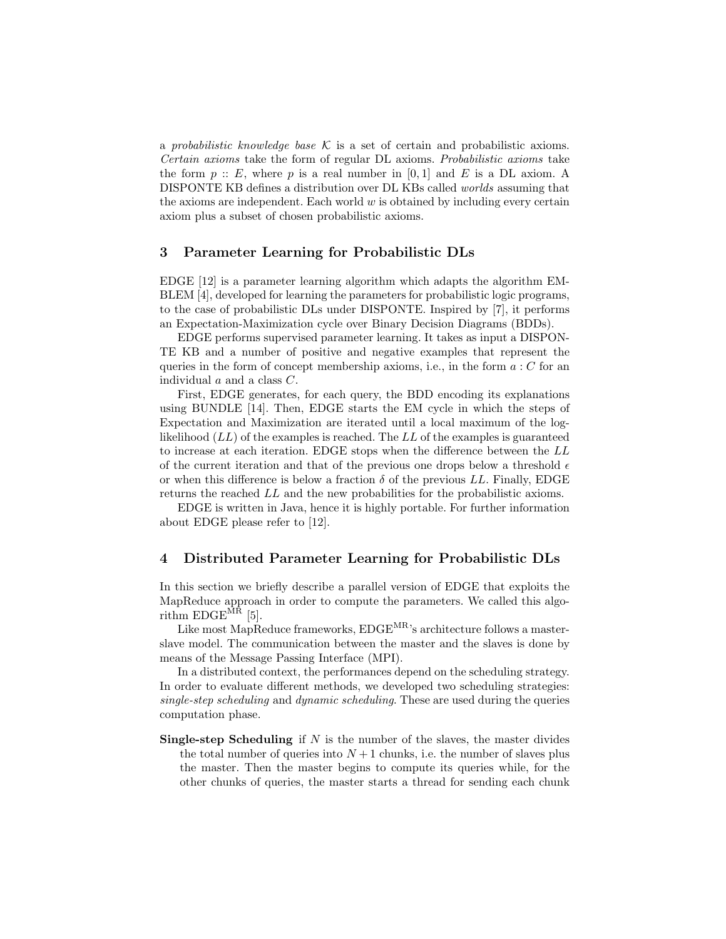a probabilistic knowledge base  $\mathcal K$  is a set of certain and probabilistic axioms. Certain axioms take the form of regular DL axioms. Probabilistic axioms take the form  $p$  :: E, where p is a real number in [0, 1] and E is a DL axiom. A DISPONTE KB defines a distribution over DL KBs called worlds assuming that the axioms are independent. Each world  $w$  is obtained by including every certain axiom plus a subset of chosen probabilistic axioms.

# 3 Parameter Learning for Probabilistic DLs

EDGE [12] is a parameter learning algorithm which adapts the algorithm EM-BLEM [4], developed for learning the parameters for probabilistic logic programs, to the case of probabilistic DLs under DISPONTE. Inspired by [7], it performs an Expectation-Maximization cycle over Binary Decision Diagrams (BDDs).

EDGE performs supervised parameter learning. It takes as input a DISPON-TE KB and a number of positive and negative examples that represent the queries in the form of concept membership axioms, i.e., in the form  $a : C$  for an individual  $a$  and a class  $C$ .

First, EDGE generates, for each query, the BDD encoding its explanations using BUNDLE [14]. Then, EDGE starts the EM cycle in which the steps of Expectation and Maximization are iterated until a local maximum of the loglikelihood  $(LL)$  of the examples is reached. The  $LL$  of the examples is guaranteed to increase at each iteration. EDGE stops when the difference between the LL of the current iteration and that of the previous one drops below a threshold  $\epsilon$ or when this difference is below a fraction  $\delta$  of the previous LL. Finally, EDGE returns the reached LL and the new probabilities for the probabilistic axioms.

EDGE is written in Java, hence it is highly portable. For further information about EDGE please refer to [12].

#### 4 Distributed Parameter Learning for Probabilistic DLs

In this section we briefly describe a parallel version of EDGE that exploits the MapReduce approach in order to compute the parameters. We called this algorithm  $EDGE^{\overline{MR}}$  [5].

Like most MapReduce frameworks,  $EDGE^{MR}$ 's architecture follows a masterslave model. The communication between the master and the slaves is done by means of the Message Passing Interface (MPI).

In a distributed context, the performances depend on the scheduling strategy. In order to evaluate different methods, we developed two scheduling strategies: single-step scheduling and dynamic scheduling. These are used during the queries computation phase.

**Single-step Scheduling** if  $N$  is the number of the slaves, the master divides the total number of queries into  $N+1$  chunks, i.e. the number of slaves plus the master. Then the master begins to compute its queries while, for the other chunks of queries, the master starts a thread for sending each chunk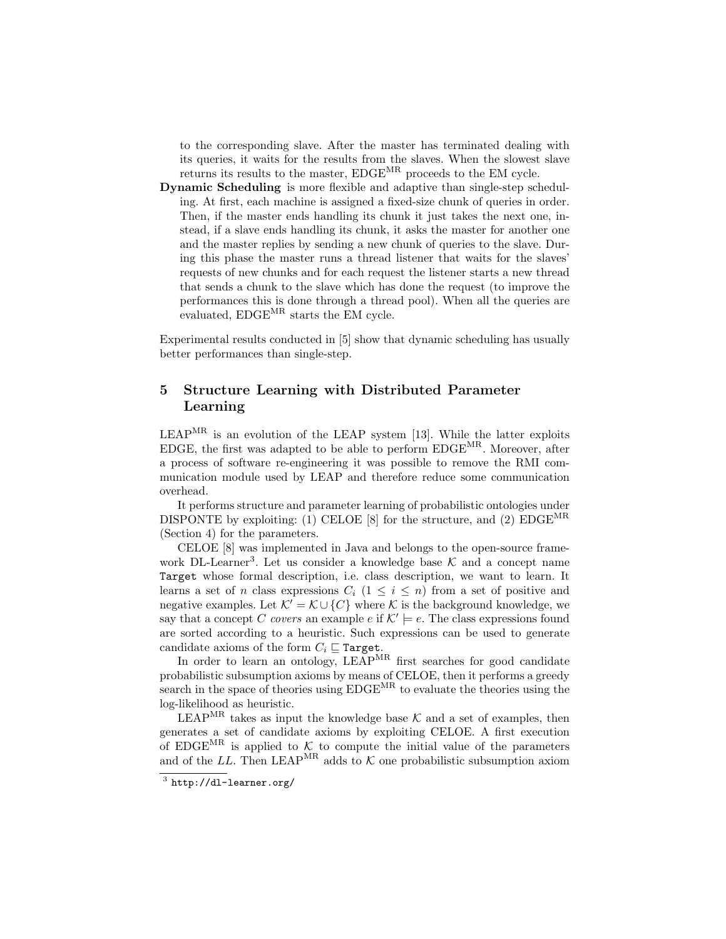to the corresponding slave. After the master has terminated dealing with its queries, it waits for the results from the slaves. When the slowest slave returns its results to the master, EDGEMR proceeds to the EM cycle.

Dynamic Scheduling is more flexible and adaptive than single-step scheduling. At first, each machine is assigned a fixed-size chunk of queries in order. Then, if the master ends handling its chunk it just takes the next one, instead, if a slave ends handling its chunk, it asks the master for another one and the master replies by sending a new chunk of queries to the slave. During this phase the master runs a thread listener that waits for the slaves' requests of new chunks and for each request the listener starts a new thread that sends a chunk to the slave which has done the request (to improve the performances this is done through a thread pool). When all the queries are evaluated, EDGEMR starts the EM cycle.

Experimental results conducted in [5] show that dynamic scheduling has usually better performances than single-step.

# 5 Structure Learning with Distributed Parameter Learning

LEAPMR is an evolution of the LEAP system [13]. While the latter exploits EDGE, the first was adapted to be able to perform EDGEMR. Moreover, after a process of software re-engineering it was possible to remove the RMI communication module used by LEAP and therefore reduce some communication overhead.

It performs structure and parameter learning of probabilistic ontologies under DISPONTE by exploiting: (1) CELOE [8] for the structure, and (2)  $EDCE<sup>MR</sup>$ (Section 4) for the parameters.

CELOE [8] was implemented in Java and belongs to the open-source framework DL-Learner<sup>3</sup>. Let us consider a knowledge base  $K$  and a concept name Target whose formal description, i.e. class description, we want to learn. It learns a set of n class expressions  $C_i$  ( $1 \leq i \leq n$ ) from a set of positive and negative examples. Let  $\mathcal{K}' = \mathcal{K} \cup \{C\}$  where K is the background knowledge, we say that a concept C covers an example e if  $K' \models e$ . The class expressions found are sorted according to a heuristic. Such expressions can be used to generate candidate axioms of the form  $C_i \sqsubseteq \texttt{Target}.$ 

In order to learn an ontology, LEAP<sup>MR</sup> first searches for good candidate probabilistic subsumption axioms by means of CELOE, then it performs a greedy search in the space of theories using  $E D G E^{MR}$  to evaluate the theories using the log-likelihood as heuristic.

LEAP<sup>MR</sup> takes as input the knowledge base  $K$  and a set of examples, then generates a set of candidate axioms by exploiting CELOE. A first execution of EDGE<sup>MR</sup> is applied to  $K$  to compute the initial value of the parameters and of the LL. Then LEAP<sup>MR</sup> adds to  $K$  one probabilistic subsumption axiom

 $^3$  http://dl-learner.org/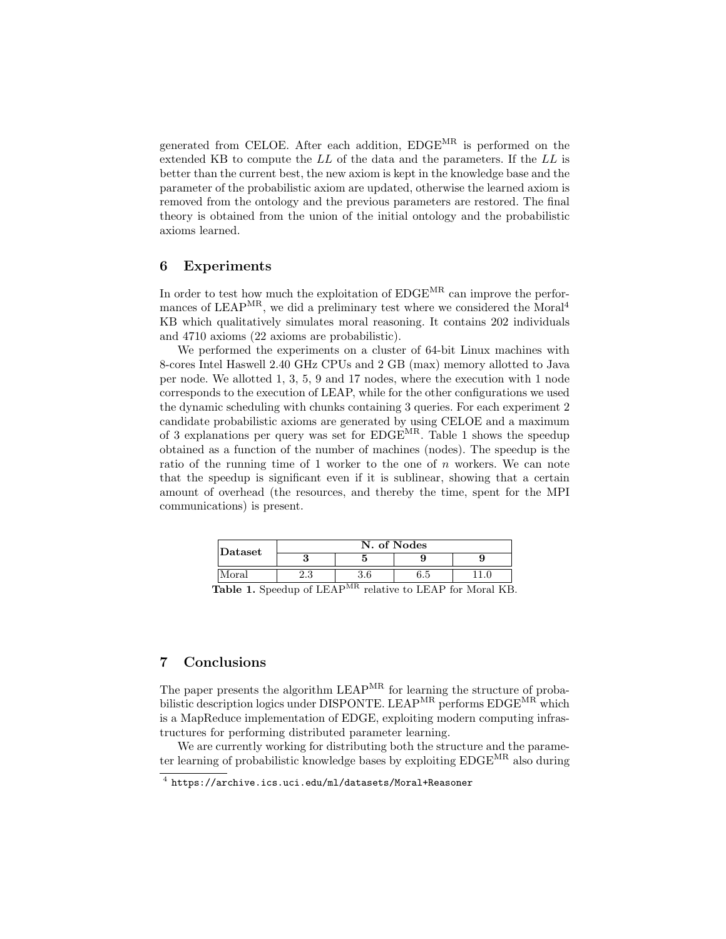generated from CELOE. After each addition, EDGEMR is performed on the extended KB to compute the LL of the data and the parameters. If the LL is better than the current best, the new axiom is kept in the knowledge base and the parameter of the probabilistic axiom are updated, otherwise the learned axiom is removed from the ontology and the previous parameters are restored. The final theory is obtained from the union of the initial ontology and the probabilistic axioms learned.

# 6 Experiments

In order to test how much the exploitation of  $E D G E^{MR}$  can improve the performances of  $LEAP^{MR}$ , we did a preliminary test where we considered the Moral<sup>4</sup> KB which qualitatively simulates moral reasoning. It contains 202 individuals and 4710 axioms (22 axioms are probabilistic).

We performed the experiments on a cluster of 64-bit Linux machines with 8-cores Intel Haswell 2.40 GHz CPUs and 2 GB (max) memory allotted to Java per node. We allotted 1, 3, 5, 9 and 17 nodes, where the execution with 1 node corresponds to the execution of LEAP, while for the other configurations we used the dynamic scheduling with chunks containing 3 queries. For each experiment 2 candidate probabilistic axioms are generated by using CELOE and a maximum of 3 explanations per query was set for  $EDGE^{MR}$ . Table 1 shows the speedup obtained as a function of the number of machines (nodes). The speedup is the ratio of the running time of 1 worker to the one of  $n$  workers. We can note that the speedup is significant even if it is sublinear, showing that a certain amount of overhead (the resources, and thereby the time, spent for the MPI communications) is present.

| Dataset                                                                                                                                                                                                                                                        | N. of Nodes |  |     |  |
|----------------------------------------------------------------------------------------------------------------------------------------------------------------------------------------------------------------------------------------------------------------|-------------|--|-----|--|
|                                                                                                                                                                                                                                                                |             |  |     |  |
| Moral                                                                                                                                                                                                                                                          | د.،         |  | 6.5 |  |
| $C_{\text{max}}$ $\lambda$ $\mathbf{r}$ $\mathbf{r}$ $\mathbf{r}$ $\mathbf{r}$ $\mathbf{r}$ $\mathbf{r}$ $\mathbf{r}$<br>$$ $$ $$ $$ $$ $\mathbf{F} \mathbf{R} \mathbf{A} \mathbf{D}$ $\mathbf{f} \dots$ $\mathbf{M} \dots$ $\mathbf{I} \mathbf{M} \mathbf{F}$ |             |  |     |  |

Table 1. Speedup of LEAP<sup>MR</sup> relative to LEAP for Moral KB.

# 7 Conclusions

The paper presents the algorithm LEAPMR for learning the structure of probabilistic description logics under DISPONTE. LEAP<sup>MR</sup> performs EDGE<sup>MR</sup> which is a MapReduce implementation of EDGE, exploiting modern computing infrastructures for performing distributed parameter learning.

We are currently working for distributing both the structure and the parameter learning of probabilistic knowledge bases by exploiting EDGEMR also during

 $^4$  https://archive.ics.uci.edu/ml/datasets/Moral+Reasoner